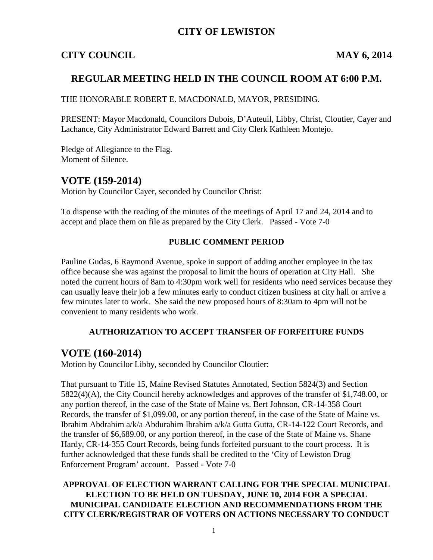### **CITY OF LEWISTON**

### **CITY COUNCIL MAY 6, 2014**

### **REGULAR MEETING HELD IN THE COUNCIL ROOM AT 6:00 P.M.**

THE HONORABLE ROBERT E. MACDONALD, MAYOR, PRESIDING.

PRESENT: Mayor Macdonald, Councilors Dubois, D'Auteuil, Libby, Christ, Cloutier, Cayer and Lachance, City Administrator Edward Barrett and City Clerk Kathleen Montejo.

Pledge of Allegiance to the Flag. Moment of Silence.

### **VOTE (159-2014)**

Motion by Councilor Cayer, seconded by Councilor Christ:

To dispense with the reading of the minutes of the meetings of April 17 and 24, 2014 and to accept and place them on file as prepared by the City Clerk. Passed - Vote 7-0

### **PUBLIC COMMENT PERIOD**

Pauline Gudas, 6 Raymond Avenue, spoke in support of adding another employee in the tax office because she was against the proposal to limit the hours of operation at City Hall. She noted the current hours of 8am to 4:30pm work well for residents who need services because they can usually leave their job a few minutes early to conduct citizen business at city hall or arrive a few minutes later to work. She said the new proposed hours of 8:30am to 4pm will not be convenient to many residents who work.

### **AUTHORIZATION TO ACCEPT TRANSFER OF FORFEITURE FUNDS**

# **VOTE (160-2014)**

Motion by Councilor Libby, seconded by Councilor Cloutier:

That pursuant to Title 15, Maine Revised Statutes Annotated, Section 5824(3) and Section 5822(4)(A), the City Council hereby acknowledges and approves of the transfer of \$1,748.00, or any portion thereof, in the case of the State of Maine vs. Bert Johnson, CR-14-358 Court Records, the transfer of \$1,099.00, or any portion thereof, in the case of the State of Maine vs. Ibrahim Abdrahim a/k/a Abdurahim Ibrahim a/k/a Gutta Gutta, CR-14-122 Court Records, and the transfer of \$6,689.00, or any portion thereof, in the case of the State of Maine vs. Shane Hardy, CR-14-355 Court Records, being funds forfeited pursuant to the court process. It is further acknowledged that these funds shall be credited to the 'City of Lewiston Drug Enforcement Program' account. Passed - Vote 7-0

**APPROVAL OF ELECTION WARRANT CALLING FOR THE SPECIAL MUNICIPAL ELECTION TO BE HELD ON TUESDAY, JUNE 10, 2014 FOR A SPECIAL MUNICIPAL CANDIDATE ELECTION AND RECOMMENDATIONS FROM THE CITY CLERK/REGISTRAR OF VOTERS ON ACTIONS NECESSARY TO CONDUCT**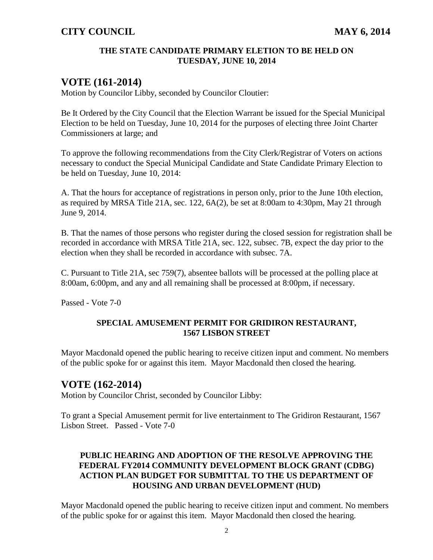#### **THE STATE CANDIDATE PRIMARY ELETION TO BE HELD ON TUESDAY, JUNE 10, 2014**

# **VOTE (161-2014)**

Motion by Councilor Libby, seconded by Councilor Cloutier:

Be It Ordered by the City Council that the Election Warrant be issued for the Special Municipal Election to be held on Tuesday, June 10, 2014 for the purposes of electing three Joint Charter Commissioners at large; and

To approve the following recommendations from the City Clerk/Registrar of Voters on actions necessary to conduct the Special Municipal Candidate and State Candidate Primary Election to be held on Tuesday, June 10, 2014:

A. That the hours for acceptance of registrations in person only, prior to the June 10th election, as required by MRSA Title 21A, sec. 122, 6A(2), be set at 8:00am to 4:30pm, May 21 through June 9, 2014.

B. That the names of those persons who register during the closed session for registration shall be recorded in accordance with MRSA Title 21A, sec. 122, subsec. 7B, expect the day prior to the election when they shall be recorded in accordance with subsec. 7A.

C. Pursuant to Title 21A, sec 759(7), absentee ballots will be processed at the polling place at 8:00am, 6:00pm, and any and all remaining shall be processed at 8:00pm, if necessary.

Passed - Vote 7-0

### **SPECIAL AMUSEMENT PERMIT FOR GRIDIRON RESTAURANT, 1567 LISBON STREET**

Mayor Macdonald opened the public hearing to receive citizen input and comment. No members of the public spoke for or against this item. Mayor Macdonald then closed the hearing.

### **VOTE (162-2014)**

Motion by Councilor Christ, seconded by Councilor Libby:

To grant a Special Amusement permit for live entertainment to The Gridiron Restaurant, 1567 Lisbon Street. Passed - Vote 7-0

### **PUBLIC HEARING AND ADOPTION OF THE RESOLVE APPROVING THE FEDERAL FY2014 COMMUNITY DEVELOPMENT BLOCK GRANT (CDBG) ACTION PLAN BUDGET FOR SUBMITTAL TO THE US DEPARTMENT OF HOUSING AND URBAN DEVELOPMENT (HUD)**

Mayor Macdonald opened the public hearing to receive citizen input and comment. No members of the public spoke for or against this item. Mayor Macdonald then closed the hearing.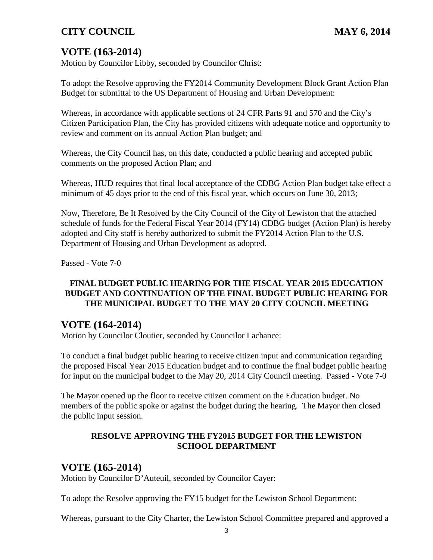# **VOTE (163-2014)**

Motion by Councilor Libby, seconded by Councilor Christ:

To adopt the Resolve approving the FY2014 Community Development Block Grant Action Plan Budget for submittal to the US Department of Housing and Urban Development:

Whereas, in accordance with applicable sections of 24 CFR Parts 91 and 570 and the City's Citizen Participation Plan, the City has provided citizens with adequate notice and opportunity to review and comment on its annual Action Plan budget; and

Whereas, the City Council has, on this date, conducted a public hearing and accepted public comments on the proposed Action Plan; and

Whereas, HUD requires that final local acceptance of the CDBG Action Plan budget take effect a minimum of 45 days prior to the end of this fiscal year, which occurs on June 30, 2013;

Now, Therefore, Be It Resolved by the City Council of the City of Lewiston that the attached schedule of funds for the Federal Fiscal Year 2014 (FY14) CDBG budget (Action Plan) is hereby adopted and City staff is hereby authorized to submit the FY2014 Action Plan to the U.S. Department of Housing and Urban Development as adopted.

Passed - Vote 7-0

### **FINAL BUDGET PUBLIC HEARING FOR THE FISCAL YEAR 2015 EDUCATION BUDGET AND CONTINUATION OF THE FINAL BUDGET PUBLIC HEARING FOR THE MUNICIPAL BUDGET TO THE MAY 20 CITY COUNCIL MEETING**

### **VOTE (164-2014)**

Motion by Councilor Cloutier, seconded by Councilor Lachance:

To conduct a final budget public hearing to receive citizen input and communication regarding the proposed Fiscal Year 2015 Education budget and to continue the final budget public hearing for input on the municipal budget to the May 20, 2014 City Council meeting. Passed - Vote 7-0

The Mayor opened up the floor to receive citizen comment on the Education budget. No members of the public spoke or against the budget during the hearing. The Mayor then closed the public input session.

### **RESOLVE APPROVING THE FY2015 BUDGET FOR THE LEWISTON SCHOOL DEPARTMENT**

### **VOTE (165-2014)**

Motion by Councilor D'Auteuil, seconded by Councilor Cayer:

To adopt the Resolve approving the FY15 budget for the Lewiston School Department:

Whereas, pursuant to the City Charter, the Lewiston School Committee prepared and approved a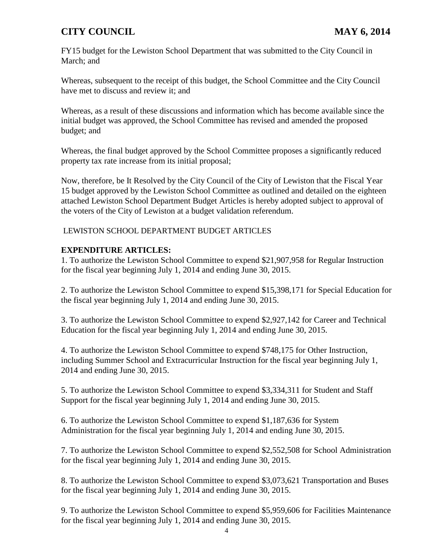FY15 budget for the Lewiston School Department that was submitted to the City Council in March; and

Whereas, subsequent to the receipt of this budget, the School Committee and the City Council have met to discuss and review it; and

Whereas, as a result of these discussions and information which has become available since the initial budget was approved, the School Committee has revised and amended the proposed budget; and

Whereas, the final budget approved by the School Committee proposes a significantly reduced property tax rate increase from its initial proposal;

Now, therefore, be It Resolved by the City Council of the City of Lewiston that the Fiscal Year 15 budget approved by the Lewiston School Committee as outlined and detailed on the eighteen attached Lewiston School Department Budget Articles is hereby adopted subject to approval of the voters of the City of Lewiston at a budget validation referendum.

LEWISTON SCHOOL DEPARTMENT BUDGET ARTICLES

### **EXPENDITURE ARTICLES:**

1. To authorize the Lewiston School Committee to expend \$21,907,958 for Regular Instruction for the fiscal year beginning July 1, 2014 and ending June 30, 2015.

2. To authorize the Lewiston School Committee to expend \$15,398,171 for Special Education for the fiscal year beginning July 1, 2014 and ending June 30, 2015.

3. To authorize the Lewiston School Committee to expend \$2,927,142 for Career and Technical Education for the fiscal year beginning July 1, 2014 and ending June 30, 2015.

4. To authorize the Lewiston School Committee to expend \$748,175 for Other Instruction, including Summer School and Extracurricular Instruction for the fiscal year beginning July 1, 2014 and ending June 30, 2015.

5. To authorize the Lewiston School Committee to expend \$3,334,311 for Student and Staff Support for the fiscal year beginning July 1, 2014 and ending June 30, 2015.

6. To authorize the Lewiston School Committee to expend \$1,187,636 for System Administration for the fiscal year beginning July 1, 2014 and ending June 30, 2015.

7. To authorize the Lewiston School Committee to expend \$2,552,508 for School Administration for the fiscal year beginning July 1, 2014 and ending June 30, 2015.

8. To authorize the Lewiston School Committee to expend \$3,073,621 Transportation and Buses for the fiscal year beginning July 1, 2014 and ending June 30, 2015.

9. To authorize the Lewiston School Committee to expend \$5,959,606 for Facilities Maintenance for the fiscal year beginning July 1, 2014 and ending June 30, 2015.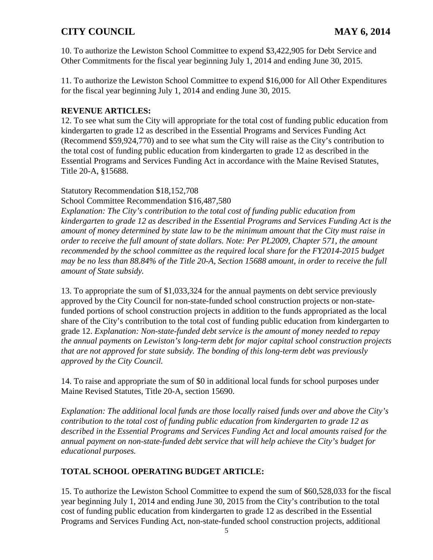10. To authorize the Lewiston School Committee to expend \$3,422,905 for Debt Service and Other Commitments for the fiscal year beginning July 1, 2014 and ending June 30, 2015.

11. To authorize the Lewiston School Committee to expend \$16,000 for All Other Expenditures for the fiscal year beginning July 1, 2014 and ending June 30, 2015.

#### **REVENUE ARTICLES:**

12. To see what sum the City will appropriate for the total cost of funding public education from kindergarten to grade 12 as described in the Essential Programs and Services Funding Act (Recommend \$59,924,770) and to see what sum the City will raise as the City's contribution to the total cost of funding public education from kindergarten to grade 12 as described in the Essential Programs and Services Funding Act in accordance with the Maine Revised Statutes, Title 20-A, §15688.

#### Statutory Recommendation \$18,152,708

School Committee Recommendation \$16,487,580

*Explanation: The City's contribution to the total cost of funding public education from kindergarten to grade 12 as described in the Essential Programs and Services Funding Act is the amount of money determined by state law to be the minimum amount that the City must raise in order to receive the full amount of state dollars. Note: Per PL2009, Chapter 571, the amount recommended by the school committee as the required local share for the FY2014-2015 budget may be no less than 88.84% of the Title 20-A, Section 15688 amount, in order to receive the full amount of State subsidy.* 

13. To appropriate the sum of \$1,033,324 for the annual payments on debt service previously approved by the City Council for non-state-funded school construction projects or non-statefunded portions of school construction projects in addition to the funds appropriated as the local share of the City's contribution to the total cost of funding public education from kindergarten to grade 12. *Explanation: Non-state-funded debt service is the amount of money needed to repay the annual payments on Lewiston's long-term debt for major capital school construction projects that are not approved for state subsidy. The bonding of this long-term debt was previously approved by the City Council.* 

14. To raise and appropriate the sum of \$0 in additional local funds for school purposes under Maine Revised Statutes, Title 20-A, section 15690.

*Explanation: The additional local funds are those locally raised funds over and above the City's contribution to the total cost of funding public education from kindergarten to grade 12 as described in the Essential Programs and Services Funding Act and local amounts raised for the annual payment on non-state-funded debt service that will help achieve the City's budget for educational purposes.* 

### **TOTAL SCHOOL OPERATING BUDGET ARTICLE:**

15. To authorize the Lewiston School Committee to expend the sum of \$60,528,033 for the fiscal year beginning July 1, 2014 and ending June 30, 2015 from the City's contribution to the total cost of funding public education from kindergarten to grade 12 as described in the Essential Programs and Services Funding Act, non-state-funded school construction projects, additional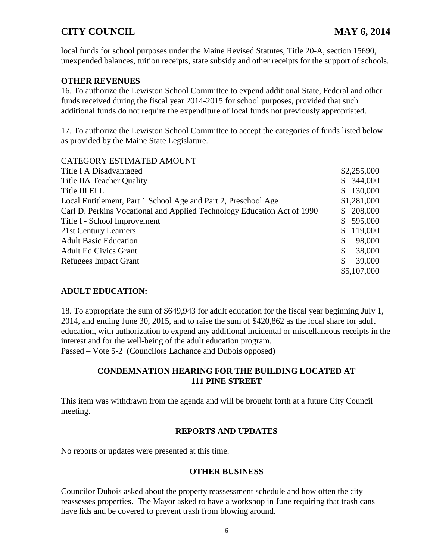local funds for school purposes under the Maine Revised Statutes, Title 20-A, section 15690, unexpended balances, tuition receipts, state subsidy and other receipts for the support of schools.

#### **OTHER REVENUES**

16. To authorize the Lewiston School Committee to expend additional State, Federal and other funds received during the fiscal year 2014-2015 for school purposes, provided that such additional funds do not require the expenditure of local funds not previously appropriated.

17. To authorize the Lewiston School Committee to accept the categories of funds listed below as provided by the Maine State Legislature.

| \$2,255,000               |
|---------------------------|
| \$344,000                 |
| 130,000<br>$\mathbb{S}^-$ |
| \$1,281,000               |
| 208,000                   |
| 595,000                   |
| 119,000<br>S.             |
| \$<br>98,000              |
| \$<br>38,000              |
| 39,000<br>\$              |
| \$5,107,000               |
|                           |

### **ADULT EDUCATION:**

18. To appropriate the sum of \$649,943 for adult education for the fiscal year beginning July 1, 2014, and ending June 30, 2015, and to raise the sum of \$420,862 as the local share for adult education, with authorization to expend any additional incidental or miscellaneous receipts in the interest and for the well-being of the adult education program. Passed – Vote 5-2 (Councilors Lachance and Dubois opposed)

### **CONDEMNATION HEARING FOR THE BUILDING LOCATED AT 111 PINE STREET**

This item was withdrawn from the agenda and will be brought forth at a future City Council meeting.

### **REPORTS AND UPDATES**

No reports or updates were presented at this time.

#### **OTHER BUSINESS**

Councilor Dubois asked about the property reassessment schedule and how often the city reassesses properties. The Mayor asked to have a workshop in June requiring that trash cans have lids and be covered to prevent trash from blowing around.